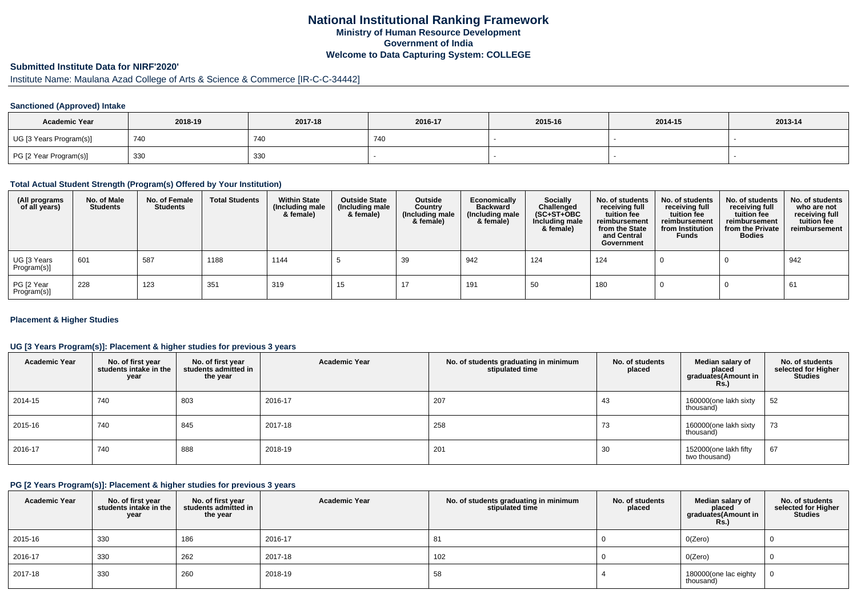# **National Institutional Ranking FrameworkMinistry of Human Resource DevelopmentGovernment of IndiaWelcome to Data Capturing System: COLLEGE**

# **Submitted Institute Data for NIRF'2020'**

# Institute Name: Maulana Azad College of Arts & Science & Commerce [IR-C-C-34442]

## **Sanctioned (Approved) Intake**

| <b>Academic Year</b>    | 2018-19 | 2017-18 | 2016-17 | 2015-16 | 2014-15 | 2013-14 |
|-------------------------|---------|---------|---------|---------|---------|---------|
| UG [3 Years Program(s)] | 740     | 740     | 740     |         |         |         |
| PG [2 Year Program(s)]  | 330     | 330     |         |         |         |         |

### **Total Actual Student Strength (Program(s) Offered by Your Institution)**

| (All programs<br>of all years) | No. of Male<br><b>Students</b> | No. of Female<br><b>Students</b> | <b>Total Students</b> | <b>Within State</b><br>(Including male<br>& female) | <b>Outside State</b><br>(Including male<br>& female) | Outside<br>Country<br>(Including male<br>& female) | Economically<br><b>Backward</b><br>(Including male<br>& female) | <b>Socially</b><br>Challenged<br>$(SC+ST+OBC)$<br>Including male<br>& female) | No. of students<br>receiving full<br>tuition fee<br>reimbursement<br>from the State<br>and Central<br>Government | No. of students<br>receiving full<br>tuition fee<br>reimbursement<br>from Institution<br><b>Funds</b> | No. of students<br>receiving full<br>tuition fee<br>reimbursement<br>from the Private<br><b>Bodies</b> | No. of students<br>who are not<br>receiving full<br>tuition fee<br>reimbursement |
|--------------------------------|--------------------------------|----------------------------------|-----------------------|-----------------------------------------------------|------------------------------------------------------|----------------------------------------------------|-----------------------------------------------------------------|-------------------------------------------------------------------------------|------------------------------------------------------------------------------------------------------------------|-------------------------------------------------------------------------------------------------------|--------------------------------------------------------------------------------------------------------|----------------------------------------------------------------------------------|
| UG [3 Years<br>Program(s)]     | 601                            | 587                              | 1188                  | 1144                                                |                                                      | 39                                                 | 942                                                             | 124                                                                           | 124                                                                                                              |                                                                                                       |                                                                                                        | 942                                                                              |
| PG [2 Year<br>Program(s)]      | 228                            | 123                              | 351                   | 319                                                 | 15                                                   | 17                                                 | 191                                                             | 50                                                                            | 180                                                                                                              |                                                                                                       |                                                                                                        | 61                                                                               |

## **Placement & Higher Studies**

## **UG [3 Years Program(s)]: Placement & higher studies for previous 3 years**

| <b>Academic Year</b> | No. of first year<br>students intake in the<br>year | No. of first year<br>students admitted in<br>the year | <b>Academic Year</b> | No. of students graduating in minimum<br>stipulated time | No. of students<br>placed | Median salary of<br>placed<br>graduates (Amount in<br><b>Rs.</b> ) | No. of students<br>selected for Higher<br><b>Studies</b> |
|----------------------|-----------------------------------------------------|-------------------------------------------------------|----------------------|----------------------------------------------------------|---------------------------|--------------------------------------------------------------------|----------------------------------------------------------|
| 2014-15              | 740                                                 | 803                                                   | 2016-17              | 207                                                      | 43                        | 160000(one lakh sixty<br>thousand)                                 | 52                                                       |
| 2015-16              | 740                                                 | 845                                                   | 2017-18              | 258                                                      | 73                        | 160000(one lakh sixty<br>thousand)                                 | 73                                                       |
| 2016-17              | 740                                                 | 888                                                   | 2018-19              | 201                                                      | 30                        | 152000(one lakh fifty<br>two thousand)                             | 67                                                       |

### **PG [2 Years Program(s)]: Placement & higher studies for previous 3 years**

| <b>Academic Year</b> | No. of first year<br>students intake in the<br>year | No. of first vear<br>students admitted in<br>the year | <b>Academic Year</b> | No. of students graduating in minimum<br>stipulated time | No. of students<br>placed | Median salary of<br>placed<br>graduates(Amount in<br><b>Rs.)</b> | No. of students<br>selected for Higher<br><b>Studies</b> |
|----------------------|-----------------------------------------------------|-------------------------------------------------------|----------------------|----------------------------------------------------------|---------------------------|------------------------------------------------------------------|----------------------------------------------------------|
| 2015-16              | 330                                                 | 186                                                   | 2016-17              | 81                                                       |                           | O(Zero)                                                          |                                                          |
| 2016-17              | 330                                                 | 262                                                   | 2017-18              | 102                                                      |                           | O(Zero)                                                          |                                                          |
| 2017-18              | 330                                                 | 260                                                   | 2018-19              | 58                                                       |                           | 180000(one lac eighty<br>thousand)                               |                                                          |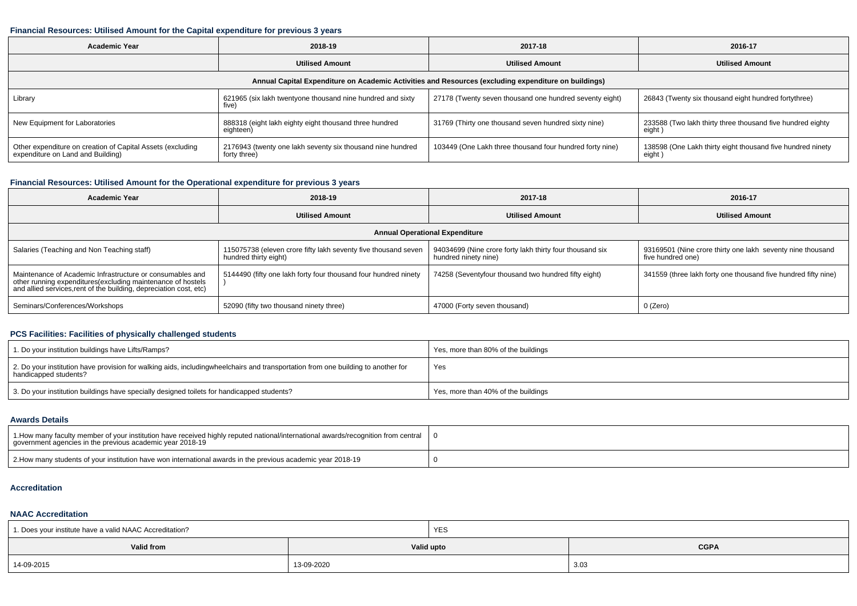## **Financial Resources: Utilised Amount for the Capital expenditure for previous 3 years**

| <b>Academic Year</b>                                                                                 | 2018-19                                                                    | 2017-18                                                  | 2016-17                                                               |  |  |  |  |  |  |  |  |
|------------------------------------------------------------------------------------------------------|----------------------------------------------------------------------------|----------------------------------------------------------|-----------------------------------------------------------------------|--|--|--|--|--|--|--|--|
|                                                                                                      | <b>Utilised Amount</b>                                                     | <b>Utilised Amount</b>                                   | <b>Utilised Amount</b>                                                |  |  |  |  |  |  |  |  |
| Annual Capital Expenditure on Academic Activities and Resources (excluding expenditure on buildings) |                                                                            |                                                          |                                                                       |  |  |  |  |  |  |  |  |
| 621965 (six lakh twentyone thousand nine hundred and sixty<br>Library<br>five)                       |                                                                            | 27178 (Twenty seven thousand one hundred seventy eight)  | 26843 (Twenty six thousand eight hundred fortythree)                  |  |  |  |  |  |  |  |  |
| New Equipment for Laboratories                                                                       | 888318 (eight lakh eighty eight thousand three hundred<br>eighteen)        | 31769 (Thirty one thousand seven hundred sixty nine)     | 233588 (Two lakh thirty three thousand five hundred eighty<br>eight   |  |  |  |  |  |  |  |  |
| Other expenditure on creation of Capital Assets (excluding<br>expenditure on Land and Building)      | 2176943 (twenty one lakh seventy six thousand nine hundred<br>forty three) | 103449 (One Lakh three thousand four hundred forty nine) | 138598 (One Lakh thirty eight thousand five hundred ninety<br>eight ) |  |  |  |  |  |  |  |  |

## **Financial Resources: Utilised Amount for the Operational expenditure for previous 3 years**

| <b>Academic Year</b>                                                                                                                                                                            | 2018-19                                                                                 | 2017-18                                                                          | 2016-17                                                                         |  |  |  |  |  |  |  |  |  |
|-------------------------------------------------------------------------------------------------------------------------------------------------------------------------------------------------|-----------------------------------------------------------------------------------------|----------------------------------------------------------------------------------|---------------------------------------------------------------------------------|--|--|--|--|--|--|--|--|--|
|                                                                                                                                                                                                 | <b>Utilised Amount</b>                                                                  | <b>Utilised Amount</b>                                                           | <b>Utilised Amount</b>                                                          |  |  |  |  |  |  |  |  |  |
| <b>Annual Operational Expenditure</b>                                                                                                                                                           |                                                                                         |                                                                                  |                                                                                 |  |  |  |  |  |  |  |  |  |
| Salaries (Teaching and Non Teaching staff)                                                                                                                                                      | 115075738 (eleven crore fifty lakh seventy five thousand seven<br>hundred thirty eight) | 94034699 (Nine crore forty lakh thirty four thousand six<br>hundred ninety nine) | 93169501 (Nine crore thirty one lakh seventy nine thousand<br>five hundred one) |  |  |  |  |  |  |  |  |  |
| Maintenance of Academic Infrastructure or consumables and<br>other running expenditures (excluding maintenance of hostels<br>and allied services, rent of the building, depreciation cost, etc) | 5144490 (fifty one lakh forty four thousand four hundred ninety                         | 74258 (Seventyfour thousand two hundred fifty eight)                             | 341559 (three lakh forty one thousand five hundred fifty nine)                  |  |  |  |  |  |  |  |  |  |
| Seminars/Conferences/Workshops                                                                                                                                                                  | 52090 (fifty two thousand ninety three)                                                 | 47000 (Forty seven thousand)                                                     | 0 (Zero)                                                                        |  |  |  |  |  |  |  |  |  |

## **PCS Facilities: Facilities of physically challenged students**

| 1. Do your institution buildings have Lifts/Ramps?                                                                                                        | Yes, more than 80% of the buildings |
|-----------------------------------------------------------------------------------------------------------------------------------------------------------|-------------------------------------|
| 2. Do your institution have provision for walking aids, includingwheelchairs and transportation from one building to another for<br>handicapped students? | Yes                                 |
| 3. Do your institution buildings have specially designed toilets for handicapped students?                                                                | Yes, more than 40% of the buildings |

#### **Awards Details**

| 1. 1. How many faculty member of your institution have received highly reputed national/international awards/recognition from central [<br>government agencies in the previous academic year 2018-19 |  |
|------------------------------------------------------------------------------------------------------------------------------------------------------------------------------------------------------|--|
| 2. How many students of your institution have won international awards in the previous academic year 2018-19                                                                                         |  |

## **Accreditation**

### **NAAC Accreditation**

| 1. Does your institute have a valid NAAC Accreditation? |            | YES                       |      |  |  |
|---------------------------------------------------------|------------|---------------------------|------|--|--|
| Valid from                                              |            | <b>CGPA</b><br>Valid upto |      |  |  |
| 14-09-2015                                              | 13-09-2020 |                           | 3.03 |  |  |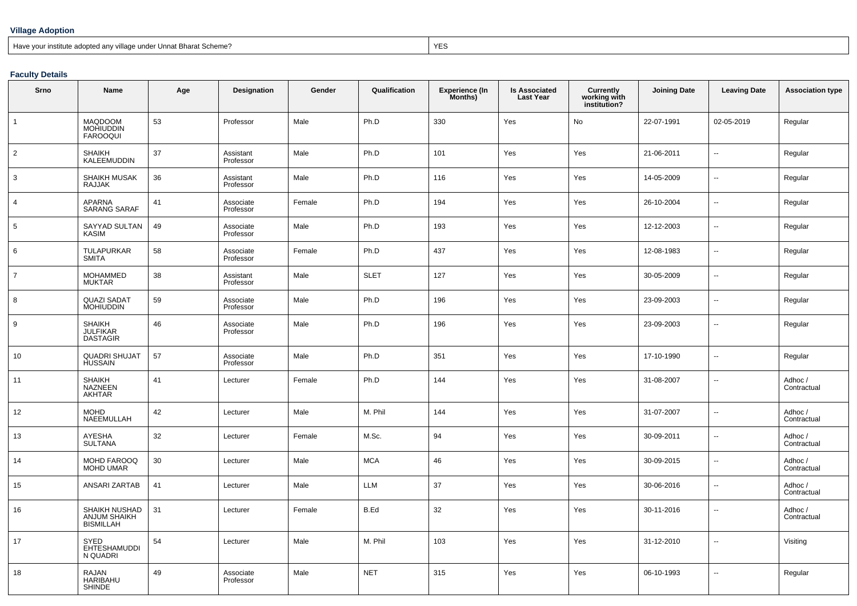## **Village Adoption**

Have your institute adopted any village under Unnat Bharat Scheme?

extending the contract of the contract of the contract of the contract of the contract of the contract of the contract of the contract of the contract of the contract of the contract of the contract of the contract of the

## **Faculty Details**

| Srno           | Name                                             | Age | Designation            | Gender | Qualification | <b>Experience (In</b><br>Months) | <b>Is Associated</b><br><b>Last Year</b> | Currently<br>working with<br>institution? | <b>Joining Date</b> | <b>Leaving Date</b>      | <b>Association type</b> |
|----------------|--------------------------------------------------|-----|------------------------|--------|---------------|----------------------------------|------------------------------------------|-------------------------------------------|---------------------|--------------------------|-------------------------|
| $\mathbf{1}$   | MAQDOOM<br><b>MOHIUDDIN</b><br><b>FAROOQUI</b>   | 53  | Professor              | Male   | Ph.D          | 330                              | Yes                                      | No                                        | 22-07-1991          | 02-05-2019               | Regular                 |
| $\overline{2}$ | <b>SHAIKH</b><br><b>KALEEMUDDIN</b>              | 37  | Assistant<br>Professor | Male   | Ph.D          | 101                              | Yes                                      | Yes                                       | 21-06-2011          | $\overline{\phantom{a}}$ | Regular                 |
| 3              | SHAIKH MUSAK<br><b>RAJJAK</b>                    | 36  | Assistant<br>Professor | Male   | Ph.D          | 116                              | Yes                                      | Yes                                       | 14-05-2009          | Ξ.                       | Regular                 |
| $\overline{4}$ | <b>APARNA</b><br><b>SARANG SARAF</b>             | 41  | Associate<br>Professor | Female | Ph.D          | 194                              | Yes                                      | Yes                                       | 26-10-2004          | $\ddot{\phantom{a}}$     | Regular                 |
| 5              | SAYYAD SULTAN<br><b>KASIM</b>                    | 49  | Associate<br>Professor | Male   | Ph.D          | 193                              | Yes                                      | Yes                                       | 12-12-2003          | $\overline{\phantom{a}}$ | Regular                 |
| 6              | <b>TULAPURKAR</b><br><b>SMITA</b>                | 58  | Associate<br>Professor | Female | Ph.D          | 437                              | Yes                                      | Yes                                       | 12-08-1983          | $\sim$                   | Regular                 |
| $\overline{7}$ | <b>MOHAMMED</b><br><b>MUKTAR</b>                 | 38  | Assistant<br>Professor | Male   | <b>SLET</b>   | 127                              | Yes                                      | Yes                                       | 30-05-2009          | $\sim$                   | Regular                 |
| 8              | <b>QUAZI SADAT</b><br><b>MOHIUDDIN</b>           | 59  | Associate<br>Professor | Male   | Ph.D          | 196                              | Yes                                      | Yes                                       | 23-09-2003          | ш.                       | Regular                 |
| 9              | <b>SHAIKH</b><br>JULFIKAR<br><b>DASTAGIR</b>     | 46  | Associate<br>Professor | Male   | Ph.D          | 196                              | Yes                                      | Yes                                       | 23-09-2003          | $\overline{\phantom{a}}$ | Regular                 |
| 10             | <b>QUADRI SHUJAT</b><br><b>HUSSAIN</b>           | 57  | Associate<br>Professor | Male   | Ph.D          | 351                              | Yes                                      | Yes                                       | 17-10-1990          | $\overline{a}$           | Regular                 |
| 11             | <b>SHAIKH</b><br>NAZNEEN<br>AKHTAR               | 41  | Lecturer               | Female | Ph.D          | 144                              | Yes                                      | Yes                                       | 31-08-2007          | $\sim$                   | Adhoc /<br>Contractual  |
| 12             | <b>MOHD</b><br>NAEEMULLAH                        | 42  | Lecturer               | Male   | M. Phil       | 144                              | Yes                                      | Yes                                       | 31-07-2007          | Ξ.                       | Adhoc /<br>Contractual  |
| 13             | AYESHA<br>SULTANA                                | 32  | Lecturer               | Female | M.Sc.         | 94                               | Yes                                      | Yes                                       | 30-09-2011          | $\sim$                   | Adhoc /<br>Contractual  |
| 14             | MOHD FAROOQ<br><b>MOHD UMAR</b>                  | 30  | Lecturer               | Male   | <b>MCA</b>    | 46                               | Yes                                      | Yes                                       | 30-09-2015          | $\overline{\phantom{a}}$ | Adhoc /<br>Contractual  |
| 15             | ANSARI ZARTAB                                    | 41  | Lecturer               | Male   | LLM           | 37                               | Yes                                      | Yes                                       | 30-06-2016          | $\sim$                   | Adhoc /<br>Contractual  |
| 16             | SHAIKH NUSHAD<br>ANJUM SHAIKH<br>BISMILLAH       | 31  | Lecturer               | Female | B.Ed          | 32                               | Yes                                      | Yes                                       | 30-11-2016          | --                       | Adhoc /<br>Contractual  |
| 17             | <b>SYED</b><br>EHTESHAMUDDI<br>N QUADRI          | 54  | Lecturer               | Male   | M. Phil       | 103                              | Yes                                      | Yes                                       | 31-12-2010          | --                       | Visiting                |
| 18             | <b>RAJAN</b><br><b>HARIBAHU</b><br><b>SHINDE</b> | 49  | Associate<br>Professor | Male   | <b>NET</b>    | 315                              | Yes                                      | Yes                                       | 06-10-1993          | $\overline{\phantom{a}}$ | Regular                 |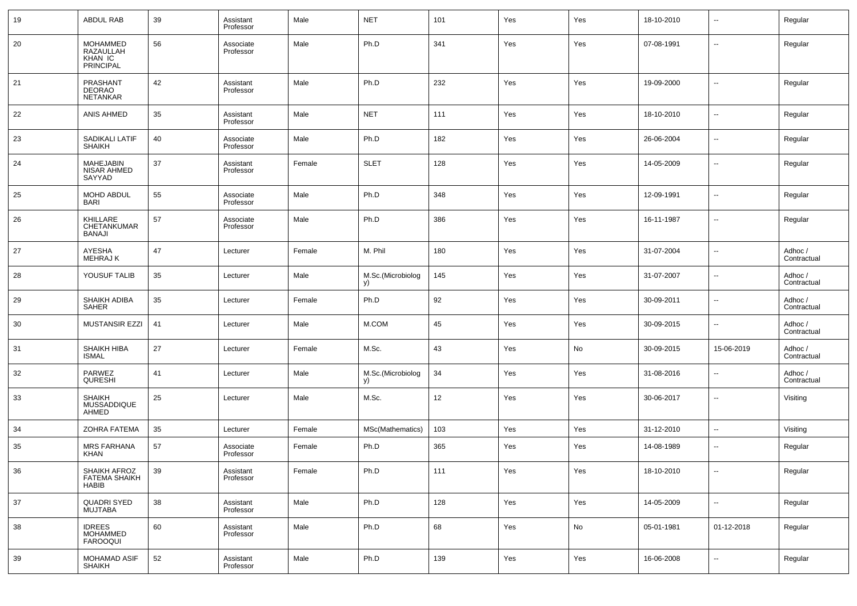| 19 | <b>ABDUL RAB</b>                                            | 39 | Assistant<br>Professor | Male   | <b>NET</b>              | 101 | Yes | Yes | 18-10-2010 | $\overline{\phantom{a}}$ | Regular                |
|----|-------------------------------------------------------------|----|------------------------|--------|-------------------------|-----|-----|-----|------------|--------------------------|------------------------|
| 20 | <b>MOHAMMED</b><br>RAZAULLAH<br>KHAN IC<br><b>PRINCIPAL</b> | 56 | Associate<br>Professor | Male   | Ph.D                    | 341 | Yes | Yes | 07-08-1991 | $\overline{\phantom{a}}$ | Regular                |
| 21 | PRASHANT<br><b>DEORAO</b><br><b>NETANKAR</b>                | 42 | Assistant<br>Professor | Male   | Ph.D                    | 232 | Yes | Yes | 19-09-2000 | $\overline{\phantom{a}}$ | Regular                |
| 22 | ANIS AHMED                                                  | 35 | Assistant<br>Professor | Male   | <b>NET</b>              | 111 | Yes | Yes | 18-10-2010 | $\overline{\phantom{a}}$ | Regular                |
| 23 | SADIKALI LATIF<br><b>SHAIKH</b>                             | 40 | Associate<br>Professor | Male   | Ph.D                    | 182 | Yes | Yes | 26-06-2004 | $\overline{\phantom{a}}$ | Regular                |
| 24 | <b>MAHEJABIN</b><br>NISAR AHMED<br>SAYYAD                   | 37 | Assistant<br>Professor | Female | <b>SLET</b>             | 128 | Yes | Yes | 14-05-2009 | $\overline{\phantom{a}}$ | Regular                |
| 25 | MOHD ABDUL<br><b>BARI</b>                                   | 55 | Associate<br>Professor | Male   | Ph.D                    | 348 | Yes | Yes | 12-09-1991 | --                       | Regular                |
| 26 | KHILLARE<br>CHETANKUMAR<br>BANAJI                           | 57 | Associate<br>Professor | Male   | Ph.D                    | 386 | Yes | Yes | 16-11-1987 | $\overline{\phantom{a}}$ | Regular                |
| 27 | AYESHA<br>MEHRAJ K                                          | 47 | Lecturer               | Female | M. Phil                 | 180 | Yes | Yes | 31-07-2004 | $\overline{\phantom{a}}$ | Adhoc /<br>Contractual |
| 28 | YOUSUF TALIB                                                | 35 | Lecturer               | Male   | M.Sc.(Microbiolog<br>y) | 145 | Yes | Yes | 31-07-2007 | $\overline{\phantom{a}}$ | Adhoc /<br>Contractual |
| 29 | SHAIKH ADIBA<br><b>SAHER</b>                                | 35 | Lecturer               | Female | Ph.D                    | 92  | Yes | Yes | 30-09-2011 | $\overline{\phantom{a}}$ | Adhoc /<br>Contractual |
| 30 | <b>MUSTANSIR EZZI</b>                                       | 41 | Lecturer               | Male   | M.COM                   | 45  | Yes | Yes | 30-09-2015 | $\overline{\phantom{a}}$ | Adhoc /<br>Contractual |
| 31 | <b>SHAIKH HIBA</b><br><b>ISMAL</b>                          | 27 | Lecturer               | Female | M.Sc.                   | 43  | Yes | No  | 30-09-2015 | 15-06-2019               | Adhoc /<br>Contractual |
| 32 | <b>PARWEZ</b><br>QURESHI                                    | 41 | Lecturer               | Male   | M.Sc.(Microbiolog<br>y) | 34  | Yes | Yes | 31-08-2016 | $\overline{\phantom{a}}$ | Adhoc /<br>Contractual |
| 33 | <b>SHAIKH</b><br>MUSSADDIQUE<br>AHMED                       | 25 | Lecturer               | Male   | M.Sc.                   | 12  | Yes | Yes | 30-06-2017 | $\overline{\phantom{a}}$ | Visiting               |
| 34 | <b>ZOHRA FATEMA</b>                                         | 35 | Lecturer               | Female | MSc(Mathematics)        | 103 | Yes | Yes | 31-12-2010 | $\overline{\phantom{a}}$ | Visiting               |
| 35 | <b>MRS FARHANA</b><br><b>KHAN</b>                           | 57 | Associate<br>Professor | Female | Ph.D                    | 365 | Yes | Yes | 14-08-1989 | $\overline{\phantom{a}}$ | Regular                |
| 36 | SHAIKH AFROZ<br><b>FATEMA SHAIKH</b><br><b>HABIB</b>        | 39 | Assistant<br>Professor | Female | Ph.D                    | 111 | Yes | Yes | 18-10-2010 | $\overline{\phantom{a}}$ | Regular                |
| 37 | <b>QUADRI SYED</b><br><b>MUJTABA</b>                        | 38 | Assistant<br>Professor | Male   | Ph.D                    | 128 | Yes | Yes | 14-05-2009 | $\sim$                   | Regular                |
| 38 | <b>IDREES</b><br><b>MOHAMMED</b><br><b>FAROOQUI</b>         | 60 | Assistant<br>Professor | Male   | Ph.D                    | 68  | Yes | No  | 05-01-1981 | 01-12-2018               | Regular                |
| 39 | MOHAMAD ASIF<br>SHAIKH                                      | 52 | Assistant<br>Professor | Male   | Ph.D                    | 139 | Yes | Yes | 16-06-2008 | ۰.                       | Regular                |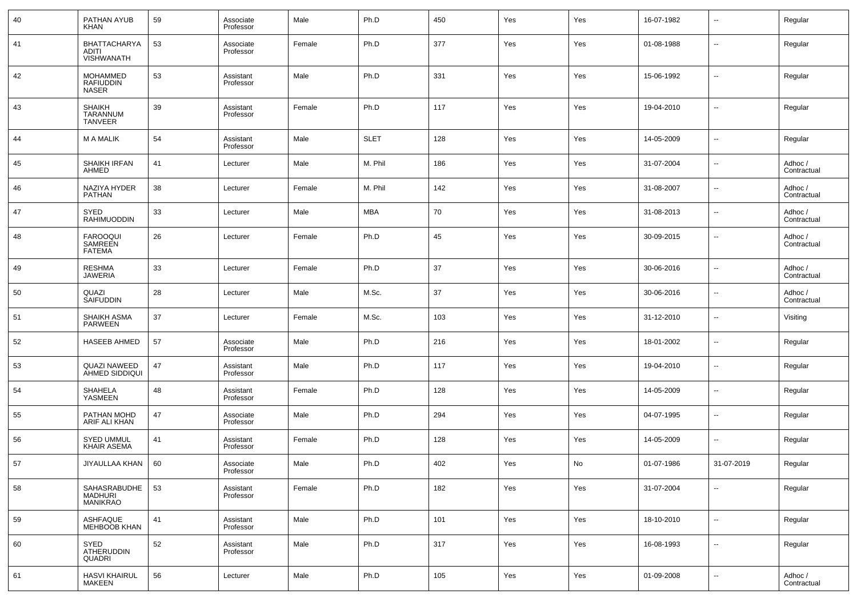| 40 | PATHAN AYUB<br><b>KHAN</b>                          | 59 | Associate<br>Professor | Male   | Ph.D        | 450 | Yes | Yes | 16-07-1982 | --                       | Regular                |
|----|-----------------------------------------------------|----|------------------------|--------|-------------|-----|-----|-----|------------|--------------------------|------------------------|
| 41 | BHATTACHARYA<br><b>ADITI</b><br><b>VISHWANATH</b>   | 53 | Associate<br>Professor | Female | Ph.D        | 377 | Yes | Yes | 01-08-1988 | --                       | Regular                |
| 42 | <b>MOHAMMED</b><br><b>RAFIUDDIN</b><br><b>NASER</b> | 53 | Assistant<br>Professor | Male   | Ph.D        | 331 | Yes | Yes | 15-06-1992 | ÷.                       | Regular                |
| 43 | <b>SHAIKH</b><br>TARANNUM<br><b>TANVEER</b>         | 39 | Assistant<br>Professor | Female | Ph.D        | 117 | Yes | Yes | 19-04-2010 | $\overline{\phantom{a}}$ | Regular                |
| 44 | <b>M A MALIK</b>                                    | 54 | Assistant<br>Professor | Male   | <b>SLET</b> | 128 | Yes | Yes | 14-05-2009 | --                       | Regular                |
| 45 | <b>SHAIKH IRFAN</b><br>AHMED                        | 41 | Lecturer               | Male   | M. Phil     | 186 | Yes | Yes | 31-07-2004 | --                       | Adhoc /<br>Contractual |
| 46 | NAZIYA HYDER<br><b>PATHAN</b>                       | 38 | Lecturer               | Female | M. Phil     | 142 | Yes | Yes | 31-08-2007 | $\overline{\phantom{a}}$ | Adhoc /<br>Contractual |
| 47 | SYED<br><b>RAHIMUODDIN</b>                          | 33 | Lecturer               | Male   | <b>MBA</b>  | 70  | Yes | Yes | 31-08-2013 | --                       | Adhoc /<br>Contractual |
| 48 | <b>FAROOQUI</b><br>SAMREEN<br><b>FATEMA</b>         | 26 | Lecturer               | Female | Ph.D        | 45  | Yes | Yes | 30-09-2015 | --                       | Adhoc /<br>Contractual |
| 49 | <b>RESHMA</b><br><b>JAWERIA</b>                     | 33 | Lecturer               | Female | Ph.D        | 37  | Yes | Yes | 30-06-2016 | $\overline{\phantom{a}}$ | Adhoc /<br>Contractual |
| 50 | QUAZI<br><b>SAIFUDDIN</b>                           | 28 | Lecturer               | Male   | M.Sc.       | 37  | Yes | Yes | 30-06-2016 | $\overline{\phantom{a}}$ | Adhoc /<br>Contractual |
| 51 | SHAIKH ASMA<br><b>PARWEEN</b>                       | 37 | Lecturer               | Female | M.Sc.       | 103 | Yes | Yes | 31-12-2010 | $\overline{a}$           | Visiting               |
| 52 | <b>HASEEB AHMED</b>                                 | 57 | Associate<br>Professor | Male   | Ph.D        | 216 | Yes | Yes | 18-01-2002 | $\overline{\phantom{a}}$ | Regular                |
| 53 | <b>QUAZI NAWEED</b><br>AHMED SIDDIQUI               | 47 | Assistant<br>Professor | Male   | Ph.D        | 117 | Yes | Yes | 19-04-2010 | $\overline{a}$           | Regular                |
| 54 | <b>SHAHELA</b><br>YASMEEN                           | 48 | Assistant<br>Professor | Female | Ph.D        | 128 | Yes | Yes | 14-05-2009 | $\overline{\phantom{a}}$ | Regular                |
| 55 | PATHAN MOHD<br>ARIF ALI KHAN                        | 47 | Associate<br>Professor | Male   | Ph.D        | 294 | Yes | Yes | 04-07-1995 | $\overline{\phantom{a}}$ | Regular                |
| 56 | <b>SYED UMMUL</b><br><b>KHAIR ASEMA</b>             | 41 | Assistant<br>Professor | Female | Ph.D        | 128 | Yes | Yes | 14-05-2009 | $\overline{a}$           | Regular                |
| 57 | JIYAULLAA KHAN                                      | 60 | Associate<br>Professor | Male   | Ph.D        | 402 | Yes | No  | 01-07-1986 | 31-07-2019               | Regular                |
| 58 | SAHASRABUDHE<br><b>MADHURI</b><br><b>MANIKRAO</b>   | 53 | Assistant<br>Professor | Female | Ph.D        | 182 | Yes | Yes | 31-07-2004 | $\sim$                   | Regular                |
| 59 | ASHFAQUE<br><b>MEHBOOB KHAN</b>                     | 41 | Assistant<br>Professor | Male   | Ph.D        | 101 | Yes | Yes | 18-10-2010 | Ξ.                       | Regular                |
| 60 | SYED<br>ATHERUDDIN<br>QUADRI                        | 52 | Assistant<br>Professor | Male   | Ph.D        | 317 | Yes | Yes | 16-08-1993 | Ξ.                       | Regular                |
| 61 | <b>HASVI KHAIRUL</b><br>MAKEEN                      | 56 | Lecturer               | Male   | Ph.D        | 105 | Yes | Yes | 01-09-2008 | $\overline{\phantom{a}}$ | Adhoc /<br>Contractual |